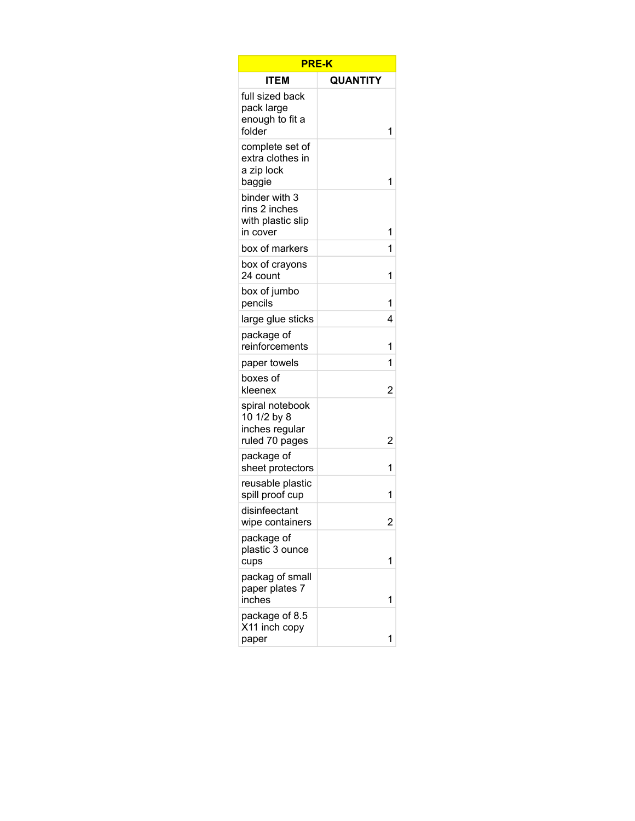| <b>PRE-K</b>                                                       |                |  |
|--------------------------------------------------------------------|----------------|--|
| ITEM                                                               | QUANTITY       |  |
| full sized back<br>pack large<br>enough to fit a<br>folder         | 1              |  |
| complete set of<br>extra clothes in<br>a zip lock<br>baggie        | 1              |  |
| binder with 3<br>rins 2 inches<br>with plastic slip<br>in cover    | 1              |  |
| box of markers                                                     | 1              |  |
| box of crayons<br>24 count                                         | 1              |  |
| box of jumbo<br>pencils                                            | 1              |  |
| large glue sticks                                                  | 4              |  |
| package of<br>reinforcements                                       | 1              |  |
| paper towels                                                       | 1              |  |
| boxes of<br>kleenex                                                | 2              |  |
| spiral notebook<br>10 1/2 by 8<br>inches regular<br>ruled 70 pages | 2              |  |
| package of<br>sheet protectors                                     | 1              |  |
| reusable plastic<br>spill proof cup                                | 1              |  |
| disinfeectant<br>wipe containers                                   | $\overline{c}$ |  |
| package of<br>plastic 3 ounce<br>cups                              | 1              |  |
| packag of small<br>paper plates 7<br>inches                        | 1              |  |
| package of 8.5<br>X11 inch copy<br>paper                           | 1              |  |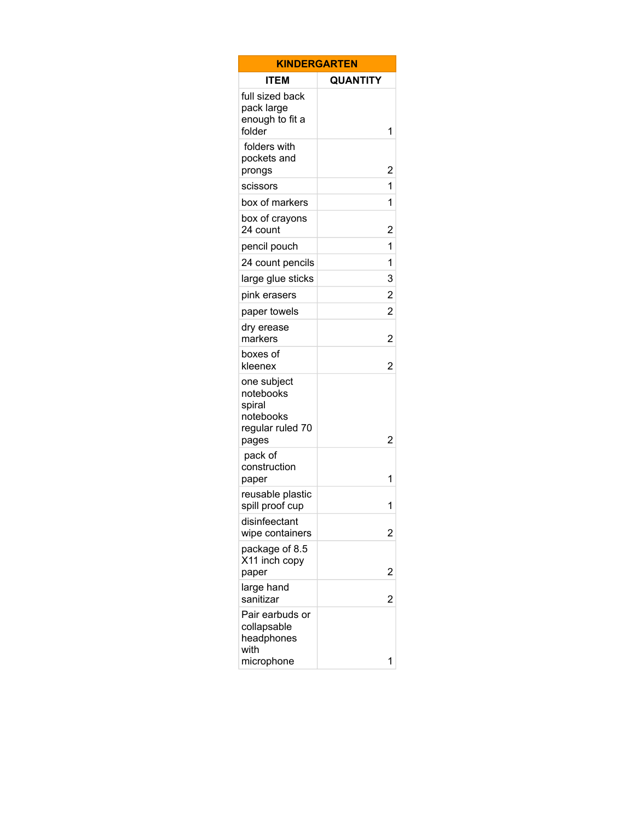| <b>KINDERGARTEN</b>                                                          |                         |  |
|------------------------------------------------------------------------------|-------------------------|--|
| <b>ITEM</b>                                                                  | <b>QUANTITY</b>         |  |
| full sized back<br>pack large<br>enough to fit a<br>folder                   | 1                       |  |
| folders with<br>pockets and<br>prongs                                        | $\overline{c}$          |  |
| scissors                                                                     | 1                       |  |
| box of markers                                                               | 1                       |  |
| box of crayons<br>24 count                                                   | $\overline{\mathbf{c}}$ |  |
| pencil pouch                                                                 | 1                       |  |
| 24 count pencils                                                             | 1                       |  |
| large glue sticks                                                            | 3                       |  |
| pink erasers                                                                 | $\overline{\mathbf{c}}$ |  |
| paper towels                                                                 | $\overline{c}$          |  |
| dry erease<br>markers                                                        | $\overline{2}$          |  |
| boxes of<br>kleenex                                                          | $\overline{2}$          |  |
| one subject<br>notebooks<br>spiral<br>notebooks<br>regular ruled 70<br>pages | 2                       |  |
| pack of<br>construction<br>paper                                             | 1                       |  |
| reusable plastic<br>spill proof cup                                          | 1                       |  |
| disinfeectant<br>wipe containers                                             | 2                       |  |
| package of 8.5<br>X11 inch copy<br>paper                                     | $\overline{c}$          |  |
| large hand<br>sanitizar                                                      | 2                       |  |
| Pair earbuds or<br>collapsable<br>headphones<br>with<br>microphone           | 1                       |  |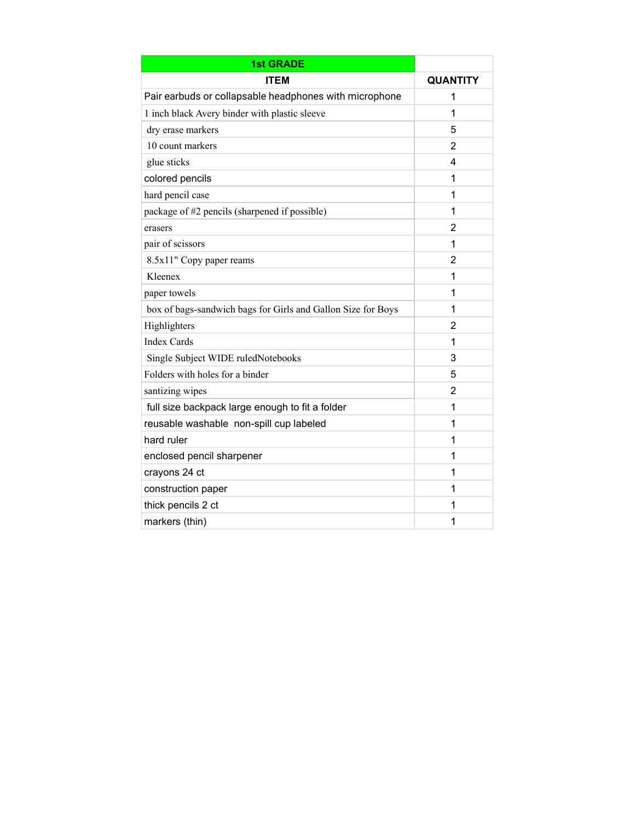| <b>1st GRADE</b>                                             |                 |
|--------------------------------------------------------------|-----------------|
| <b>ITEM</b>                                                  | <b>QUANTITY</b> |
| Pair earbuds or collapsable headphones with microphone       | 1               |
| 1 inch black Avery binder with plastic sleeve                | 1               |
| dry erase markers                                            | 5               |
| 10 count markers                                             | 2               |
| glue sticks                                                  | 4               |
| colored pencils                                              | 1               |
| hard pencil case                                             | 1               |
| package of #2 pencils (sharpened if possible)                | 1               |
| erasers                                                      | 2               |
| pair of scissors                                             | 1               |
| 8.5x11" Copy paper reams                                     | 2               |
| Kleenex                                                      | 1               |
| paper towels                                                 | 1               |
| box of bags-sandwich bags for Girls and Gallon Size for Boys | 1               |
| Highlighters                                                 | $\overline{2}$  |
| <b>Index Cards</b>                                           | 1               |
| Single Subject WIDE ruledNotebooks                           | 3               |
| Folders with holes for a binder                              | 5               |
| santizing wipes                                              | 2               |
| full size backpack large enough to fit a folder              | 1               |
| reusable washable non-spill cup labeled                      | 1               |
| hard ruler                                                   | 1               |
| enclosed pencil sharpener                                    | 1               |
| crayons 24 ct                                                | 1               |
| construction paper                                           | 1               |
| thick pencils 2 ct                                           | 1               |
| markers (thin)                                               | 1               |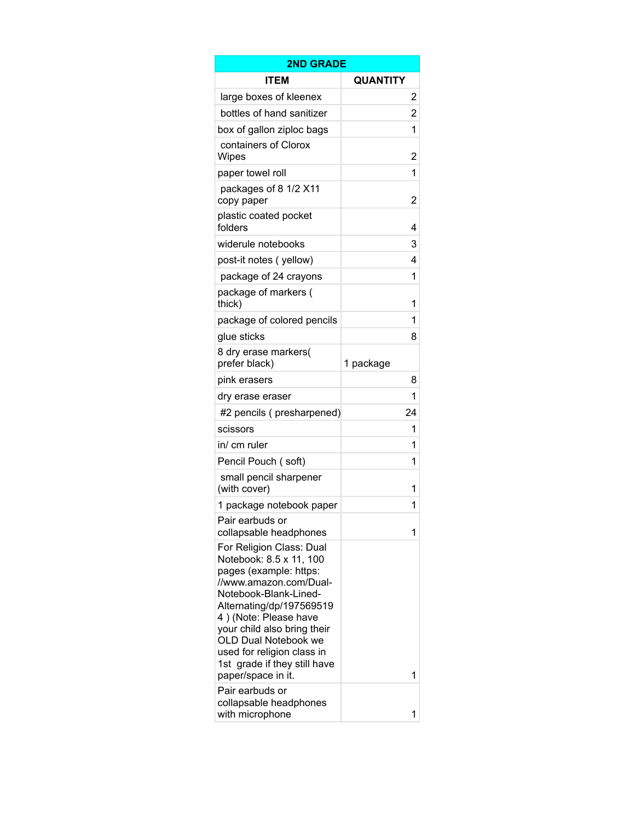| <b>2ND GRADE</b>                                                                                                                                                                                                                                                                                                                 |                |  |  |
|----------------------------------------------------------------------------------------------------------------------------------------------------------------------------------------------------------------------------------------------------------------------------------------------------------------------------------|----------------|--|--|
| ITEM                                                                                                                                                                                                                                                                                                                             | QUANTITY       |  |  |
| large boxes of kleenex                                                                                                                                                                                                                                                                                                           | 2              |  |  |
| bottles of hand sanitizer                                                                                                                                                                                                                                                                                                        | $\overline{c}$ |  |  |
| box of gallon ziploc bags                                                                                                                                                                                                                                                                                                        | 1              |  |  |
| containers of Clorox<br>Wipes                                                                                                                                                                                                                                                                                                    | 2              |  |  |
| paper towel roll                                                                                                                                                                                                                                                                                                                 | 1              |  |  |
| packages of 8 1/2 X11<br>copy paper                                                                                                                                                                                                                                                                                              | 2              |  |  |
| plastic coated pocket<br>folders                                                                                                                                                                                                                                                                                                 | 4              |  |  |
| widerule notebooks                                                                                                                                                                                                                                                                                                               | 3              |  |  |
| post-it notes (yellow)                                                                                                                                                                                                                                                                                                           | 4              |  |  |
| package of 24 crayons                                                                                                                                                                                                                                                                                                            | 1              |  |  |
| package of markers (<br>thick)                                                                                                                                                                                                                                                                                                   | 1              |  |  |
| package of colored pencils                                                                                                                                                                                                                                                                                                       | 1              |  |  |
| glue sticks                                                                                                                                                                                                                                                                                                                      | 8              |  |  |
| 8 dry erase markers(<br>prefer black)                                                                                                                                                                                                                                                                                            | 1 package      |  |  |
| pink erasers                                                                                                                                                                                                                                                                                                                     | 8              |  |  |
| dry erase eraser                                                                                                                                                                                                                                                                                                                 | 1              |  |  |
| #2 pencils (presharpened)                                                                                                                                                                                                                                                                                                        | 24             |  |  |
| scissors                                                                                                                                                                                                                                                                                                                         | 1              |  |  |
| in/ cm ruler                                                                                                                                                                                                                                                                                                                     | 1              |  |  |
| Pencil Pouch (soft)                                                                                                                                                                                                                                                                                                              | 1              |  |  |
| small pencil sharpener<br>(with cover)                                                                                                                                                                                                                                                                                           | 1              |  |  |
| 1 package notebook paper                                                                                                                                                                                                                                                                                                         | 1              |  |  |
| Pair earbuds or<br>collapsable headphones                                                                                                                                                                                                                                                                                        | 1              |  |  |
| For Religion Class: Dual<br>Notebook: 8.5 x 11, 100<br>pages (example: https:<br>//www.amazon.com/Dual-<br>Notebook-Blank-Lined-<br>Alternating/dp/197569519<br>4) (Note: Please have<br>your child also bring their<br>OLD Dual Notebook we<br>used for religion class in<br>1st grade if they still have<br>paper/space in it. | 1              |  |  |
| Pair earbuds or<br>collapsable headphones<br>with microphone                                                                                                                                                                                                                                                                     | 1              |  |  |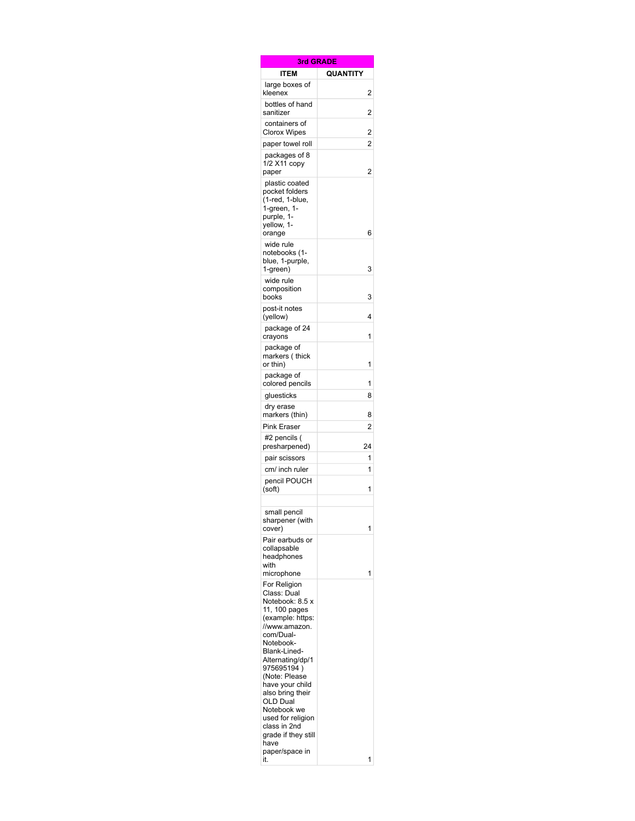| 3rd GRADE                                                                                                                                                                                                                                                                                                                               |                 |
|-----------------------------------------------------------------------------------------------------------------------------------------------------------------------------------------------------------------------------------------------------------------------------------------------------------------------------------------|-----------------|
| <b>ITEM</b>                                                                                                                                                                                                                                                                                                                             | <b>QUANTITY</b> |
| large boxes of<br>kleenex                                                                                                                                                                                                                                                                                                               | 2               |
| bottles of hand<br>sanitizer                                                                                                                                                                                                                                                                                                            | 2               |
| containers of<br>Clorox Wipes                                                                                                                                                                                                                                                                                                           | 2               |
| paper towel roll                                                                                                                                                                                                                                                                                                                        | $\overline{2}$  |
| packages of 8<br>1/2 X11 copy<br>paper                                                                                                                                                                                                                                                                                                  | 2               |
| plastic coated<br>pocket folders<br>(1-red, 1-blue,<br>1-green, 1-<br>purple, 1-<br>yellow, 1-<br>orange                                                                                                                                                                                                                                | 6               |
| wide rule<br>notebooks (1-<br>blue, 1-purple,<br>1-green)                                                                                                                                                                                                                                                                               | 3               |
| wide rule<br>composition                                                                                                                                                                                                                                                                                                                |                 |
| books<br>post-it notes<br>(yellow)                                                                                                                                                                                                                                                                                                      | 3<br>4          |
| package of 24<br>crayons                                                                                                                                                                                                                                                                                                                | 1               |
| package of<br>markers (thick<br>or thin)                                                                                                                                                                                                                                                                                                | 1               |
| package of<br>colored pencils                                                                                                                                                                                                                                                                                                           | 1               |
| gluesticks                                                                                                                                                                                                                                                                                                                              | 8               |
| dry erase<br>markers (thin)                                                                                                                                                                                                                                                                                                             | 8               |
| <b>Pink Eraser</b>                                                                                                                                                                                                                                                                                                                      | 2               |
| #2 pencils (<br>presharpened)                                                                                                                                                                                                                                                                                                           | 24              |
| pair scissors                                                                                                                                                                                                                                                                                                                           | 1               |
| cm/ inch ruler                                                                                                                                                                                                                                                                                                                          | 1               |
| pencil POUCH<br>(soft)                                                                                                                                                                                                                                                                                                                  | 1               |
| small pencil<br>sharpener (with<br>cover)                                                                                                                                                                                                                                                                                               | 1               |
| Pair earbuds or<br>collapsable<br>headphones<br>with<br>microphone                                                                                                                                                                                                                                                                      | 1               |
| For Religion<br>Class: Dual<br>Notebook: 8.5 x<br>11, 100 pages<br>(example: https:<br>//www.amazon.<br>com/Dual-<br>Notebook-<br>Blank-Lined-<br>Alternating/dp/1<br>975695194)<br>(Note: Please<br>have your child<br>also bring their<br>OLD Dual<br>Notebook we<br>used for religion<br>class in 2nd<br>grade if they still<br>have |                 |
| paper/space in<br>it.                                                                                                                                                                                                                                                                                                                   | 1               |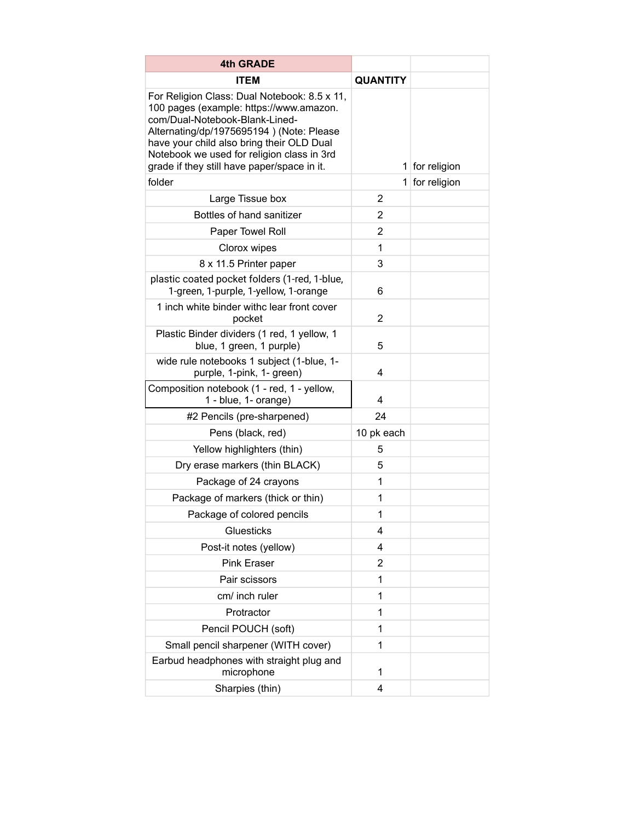| <b>4th GRADE</b>                                                                                                                                                                                                                                                                                                |                 |              |
|-----------------------------------------------------------------------------------------------------------------------------------------------------------------------------------------------------------------------------------------------------------------------------------------------------------------|-----------------|--------------|
| <b>ITEM</b>                                                                                                                                                                                                                                                                                                     | <b>QUANTITY</b> |              |
| For Religion Class: Dual Notebook: 8.5 x 11,<br>100 pages (example: https://www.amazon.<br>com/Dual-Notebook-Blank-Lined-<br>Alternating/dp/1975695194) (Note: Please<br>have your child also bring their OLD Dual<br>Notebook we used for religion class in 3rd<br>grade if they still have paper/space in it. | 1               | for religion |
| folder                                                                                                                                                                                                                                                                                                          | 1               | for religion |
| Large Tissue box                                                                                                                                                                                                                                                                                                | 2               |              |
| Bottles of hand sanitizer                                                                                                                                                                                                                                                                                       | $\overline{2}$  |              |
| Paper Towel Roll                                                                                                                                                                                                                                                                                                | 2               |              |
| Clorox wipes                                                                                                                                                                                                                                                                                                    | 1               |              |
| 8 x 11.5 Printer paper                                                                                                                                                                                                                                                                                          | 3               |              |
| plastic coated pocket folders (1-red, 1-blue,<br>1-green, 1-purple, 1-yellow, 1-orange                                                                                                                                                                                                                          | 6               |              |
| 1 inch white binder withc lear front cover<br>pocket                                                                                                                                                                                                                                                            | 2               |              |
| Plastic Binder dividers (1 red, 1 yellow, 1<br>blue, 1 green, 1 purple)                                                                                                                                                                                                                                         | 5               |              |
| wide rule notebooks 1 subject (1-blue, 1-<br>purple, 1-pink, 1- green)                                                                                                                                                                                                                                          | 4               |              |
| Composition notebook (1 - red, 1 - yellow,<br>1 - blue, 1- orange)                                                                                                                                                                                                                                              | 4               |              |
| #2 Pencils (pre-sharpened)                                                                                                                                                                                                                                                                                      | 24              |              |
| Pens (black, red)                                                                                                                                                                                                                                                                                               | 10 pk each      |              |
| Yellow highlighters (thin)                                                                                                                                                                                                                                                                                      | 5               |              |
| Dry erase markers (thin BLACK)                                                                                                                                                                                                                                                                                  | 5               |              |
| Package of 24 crayons                                                                                                                                                                                                                                                                                           | 1               |              |
| Package of markers (thick or thin)                                                                                                                                                                                                                                                                              | 1               |              |
| Package of colored pencils                                                                                                                                                                                                                                                                                      | 1               |              |
| Gluesticks                                                                                                                                                                                                                                                                                                      | 4               |              |
| Post-it notes (yellow)                                                                                                                                                                                                                                                                                          | 4               |              |
| <b>Pink Eraser</b>                                                                                                                                                                                                                                                                                              | $\overline{2}$  |              |
| Pair scissors                                                                                                                                                                                                                                                                                                   | 1               |              |
| cm/ inch ruler                                                                                                                                                                                                                                                                                                  | 1               |              |
| Protractor                                                                                                                                                                                                                                                                                                      | 1               |              |
| Pencil POUCH (soft)                                                                                                                                                                                                                                                                                             | 1               |              |
| Small pencil sharpener (WITH cover)                                                                                                                                                                                                                                                                             | 1               |              |
| Earbud headphones with straight plug and<br>microphone                                                                                                                                                                                                                                                          | 1               |              |
| Sharpies (thin)                                                                                                                                                                                                                                                                                                 | 4               |              |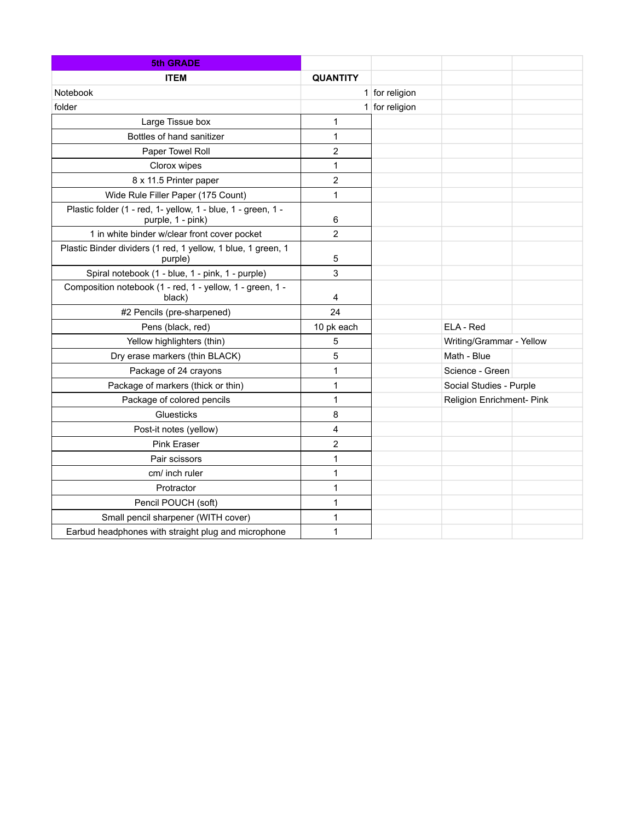| <b>5th GRADE</b>                                                                  |                 |                  |                           |  |
|-----------------------------------------------------------------------------------|-----------------|------------------|---------------------------|--|
| <b>ITEM</b>                                                                       | <b>QUANTITY</b> |                  |                           |  |
| Notebook                                                                          |                 | $1$ for religion |                           |  |
| folder                                                                            |                 | $1$ for religion |                           |  |
| Large Tissue box                                                                  | 1               |                  |                           |  |
| Bottles of hand sanitizer                                                         | 1               |                  |                           |  |
| Paper Towel Roll                                                                  | $\overline{2}$  |                  |                           |  |
| Clorox wipes                                                                      | 1               |                  |                           |  |
| 8 x 11.5 Printer paper                                                            | $\overline{2}$  |                  |                           |  |
| Wide Rule Filler Paper (175 Count)                                                | 1               |                  |                           |  |
| Plastic folder (1 - red, 1- yellow, 1 - blue, 1 - green, 1 -<br>purple, 1 - pink) | 6               |                  |                           |  |
| 1 in white binder w/clear front cover pocket                                      | $\overline{2}$  |                  |                           |  |
| Plastic Binder dividers (1 red, 1 yellow, 1 blue, 1 green, 1<br>purple)           | 5               |                  |                           |  |
| Spiral notebook (1 - blue, 1 - pink, 1 - purple)                                  | 3               |                  |                           |  |
| Composition notebook (1 - red, 1 - yellow, 1 - green, 1 -<br>black)               | 4               |                  |                           |  |
| #2 Pencils (pre-sharpened)                                                        | 24              |                  |                           |  |
| Pens (black, red)                                                                 | 10 pk each      |                  | ELA - Red                 |  |
| Yellow highlighters (thin)                                                        | 5               |                  | Writing/Grammar - Yellow  |  |
| Dry erase markers (thin BLACK)                                                    | 5               |                  | Math - Blue               |  |
| Package of 24 crayons                                                             | 1               |                  | Science - Green           |  |
| Package of markers (thick or thin)                                                | 1               |                  | Social Studies - Purple   |  |
| Package of colored pencils                                                        | 1               |                  | Religion Enrichment- Pink |  |
| Gluesticks                                                                        | 8               |                  |                           |  |
| Post-it notes (yellow)                                                            | 4               |                  |                           |  |
| <b>Pink Eraser</b>                                                                | $\overline{c}$  |                  |                           |  |
| Pair scissors                                                                     | $\mathbf{1}$    |                  |                           |  |
| cm/ inch ruler                                                                    | 1               |                  |                           |  |
| Protractor                                                                        | 1               |                  |                           |  |
| Pencil POUCH (soft)                                                               | 1               |                  |                           |  |
| Small pencil sharpener (WITH cover)                                               | 1               |                  |                           |  |
| Earbud headphones with straight plug and microphone                               | 1               |                  |                           |  |